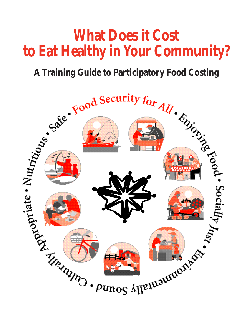# **What Does it Cost to Eat Healthy in Your Community?**

## **A Training Guide to Participatory Food Costing**

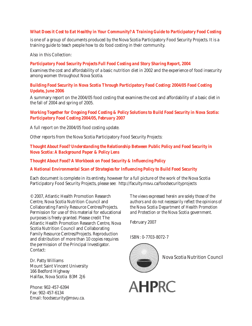#### *What Does it Cost to Eat Healthy in Your Community? A Training Guide to Participatory Food Costing*

is one of a group of documents produced by the Nova Scotia Participatory Food Security Projects. It is a training guide to teach people how to do food costing in their community.

Also in this Collection:

#### *Participatory Food Security Projects Full Food Costing and Story Sharing Report, 2004*

Examines the cost and affordability of a basic nutrition diet in 2002 and the experience of food insecurity among women throughout Nova Scotia.

#### *Building Food Security in Nova Scotia Through Participatory Food Costing: 2004/05 Food Costing Update, June 2006*

A summary report on the 2004/05 food costing that examines the cost and affordability of a basic diet in the fall of 2004 and spring of 2005.

#### *Working Together for Ongoing Food Costing & Policy Solutions to Build Food Security in Nova Scotia: Participatory Food Costing 2004/05, February 2007*

A full report on the 2004/05 food costing update.

Other reports from the Nova Scotia Participatory Food Security Projects:

*Thought About Food? Understanding the Relationship Between Public Policy and Food Security in Nova Scotia: A Background Paper & Policy Lens*

*Thought About Food? A Workbook on Food Security & Influencing Policy*

#### *A National Environmental Scan of Strategies for Influencing Policy to Build Food Security*

Each document is complete in its entirety, however for a full picture of the work of the Nova Scotia Participatory Food Security Projects, please see: http://faculty.msvu.ca/foodsecurityprojects

© 2007, Atlantic Health Promotion Research Centre, Nova Scotia Nutrition Council and Collaborating Family Resource Centres/Projects. Permission for use of this material for educational purposes is freely granted. Please credit The Atlantic Health Promotion Research Centre, Nova Scotia Nutrition Council and Collaborating Family Resource Centres/Projects. Reproduction and distribution of more than 10 copies requires the permission of the Principal Investigator. Contact:

Dr. Patty Williams Mount Saint Vincent University 166 Bedford Highway Halifax, Nova Scotia B3M 2J6

Phone: 902-457-6394 Fax: 902-457-6134 Email: foodsecurity@msvu.ca.

*The views expressed herein are solely those of the authors and do not necessarily reflect the opinions of the Nova Scotia Department of Health Promotion and Protection or the Nova Scotia government.*

February 2007

ISBN: 0-7703-8072-7



Nova Scotia Nutrition Council

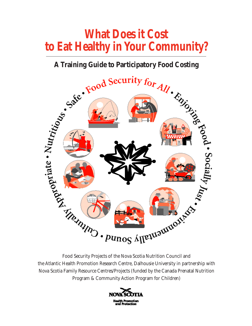## **What Does it Cost to Eat Healthy in Your Community?**



Food Security Projects of the Nova Scotia Nutrition Council and the Atlantic Health Promotion Research Centre, Dalhousie University in partnership with Nova Scotia Family Resource Centres/Projects (funded by the Canada Prenatal Nutrition Program & Community Action Program for Children)

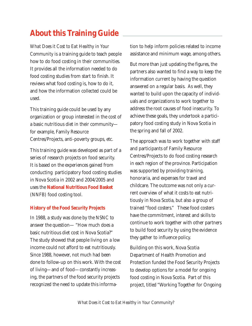## **About this Training Guide**

*What Does it Cost to Eat Healthy in Your Community* is a training guide to teach people how to do food costing in their communities. It provides all the information needed to do food costing studies from start to finish. It reviews what food costing is, how to do it, and how the information collected could be used.

This training guide could be used by any organization or group interested in the cost of a basic nutritious diet in their community for example, Family Resource Centres/Projects, anti-poverty groups, etc.

This training guide was developed as part of a series of research projects on food security. It is based on the experiences gained from conducting participatory food costing studies in Nova Scotia in 2002 and 2004/2005 and uses the **National Nutritious Food Basket** (NNFB) food costing tool.

#### **History of the Food Security Projects**

In 1988, a study was done by the NSNC to answer the question— "How much does a basic nutritious diet cost in Nova Scotia?" The study showed that people living on a low income could not afford to eat nutritiously. Since 1988, however, not much had been done to follow-up on this work. With the cost of living—and of food—constantly increasing, the partners of the food security projects recognized the need to update this information to help inform policies related to income assistance and minimum wage, among others.

But more than just updating the figures, the partners also wanted to find a way to keep the information current by having the question answered on a regular basis. As well, they wanted to build upon the capacity of individuals and organizations to work together to address the root causes of food insecurity. To achieve these goals, they undertook a participatory food costing study in Nova Scotia in the spring and fall of 2002.

The approach was to work together with staff and participants of Family Resource Centres/Projects to do food costing research in each region of the province. Participation was supported by providing training, honoraria, and expenses for travel and childcare. The outcome was not only a current overview of what it costs to eat nutritiously in Nova Scotia, but also a group of trained "food costers." These food costers have the commitment, interest and skills to continue to work together with other partners to build food security by using the evidence they gather to influence policy.

Building on this work, Nova Scotia Department of Health Promotion and Protection funded the Food Security Projects to develop options for a model for ongoing food costing in Nova Scotia. Part of this project, titled "Working Together for Ongoing

*What Does it Cost to Eat Healthy in Your Community?*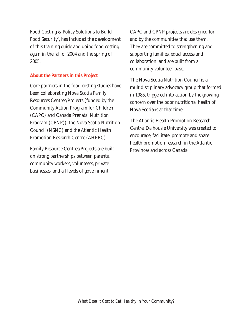Food Costing & Policy Solutions to Build Food Security", has included the development of this training guide and doing food costing again in the fall of 2004 and the spring of 2005.

#### **About the Partners in this Project**

Core partners in the food costing studies have been collaborating Nova Scotia Family Resources Centres/Projects (funded by the Community Action Program for Children (CAPC) and Canada Prenatal Nutrition Program (CPNP)), the Nova Scotia Nutrition Council (NSNC) and the Atlantic Health Promotion Research Centre (AHPRC).

Family Resource Centres/Projects are built on strong partnerships between parents, community workers, volunteers, private businesses, and all levels of government.

CAPC and CPNP projects are designed for and by the communities that use them. They are committed to strengthening and supporting families, equal access and collaboration, and are built from a community volunteer base.

The Nova Scotia Nutrition Council is a multidisciplinary advocacy group that formed in 1985, triggered into action by the growing concern over the poor nutritional health of Nova Scotians at that time.

The Atlantic Health Promotion Research Centre, Dalhousie University was created to encourage, facilitate, promote and share health promotion research in the Atlantic Provinces and across Canada.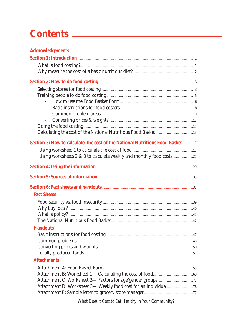## 

| $\equiv$                                                                      |  |
|-------------------------------------------------------------------------------|--|
|                                                                               |  |
|                                                                               |  |
| Section 3: How to calculate the cost of the National Nutritious Food Basket17 |  |
|                                                                               |  |
|                                                                               |  |
|                                                                               |  |
|                                                                               |  |
|                                                                               |  |
| <b>Fact Sheets</b>                                                            |  |
|                                                                               |  |
|                                                                               |  |
|                                                                               |  |
|                                                                               |  |
| <b>Handouts</b>                                                               |  |
|                                                                               |  |
|                                                                               |  |
|                                                                               |  |
|                                                                               |  |
| <b>Attachments</b>                                                            |  |
|                                                                               |  |
|                                                                               |  |
|                                                                               |  |
|                                                                               |  |
|                                                                               |  |

What Does it Cost to Eat Healthy in Your Community?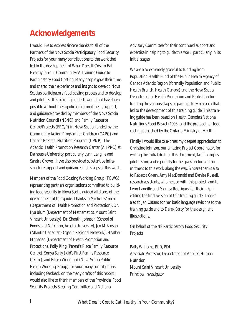## **Acknowledgements**

I would like to express sincere thanks to all of the Partners of the Nova Scotia Participatory Food Security Projects for your many contributions to the work that led to the development of What Does It Cost to Eat Healthy in Your Community? A Training Guide to Participatory Food Costing. Many people gave their time, and shared their experience and insight to develop Nova Scotia's participatory food costing process and to develop and pilot test this training guide. It would not have been possible without the significant commitment, support, and guidance provided by members of the Nova Scotia Nutrition Council (NSNC) and Family Resource Centre/Projects (FRC/P) in Nova Scotia, funded by the Community Action Program for Children (CAPC) and Canada Prenatal Nutrition Program (CPNP). The Atlantic Health Promotion Research Center (AHPRC) at Dalhousie University, particularly Lynn Langille and Sandra Crowell, have also provided substantive infrastructure support and guidance in all stages of this work.

Members of the Food Costing Working Group (FCWG) representing partners organizations committed to building food security in Nova Scotia guided all stages of the development of this guide: Thanks to Michelle Amero (Department of Health Promotion and Protection), Dr. Ilya Blum (Department of Mathematics, Mount Saint Vincent University), Dr. Shanthi Johnson (School of Foods and Nutrition, Acadia University), Jen Melanson (Atlantic Canadian Organic Regional Network), Heather Monahan (Department of Health Promotion and Protection), Polly Ring (Parent's Place Family Resource Centre), Sonya Sarty (Kid's First Family Resource Centre), and Eileen Woodford (Nova Scotia Public Health Working Group) for your many contributions including feedback on the many drafts of this report. I would also like to thank members of the Provincial Food Security Projects Steering Committee and National

Advisory Committee for their continued support and expertise in helping to guide this work, particularly in its initial stages.

We are also extremely grateful to funding from Population Health Fund of the Public Health Agency of Canada Atlantic Region (formally Population and Public Health Branch, Health Canada) and the Nova Scotia Department of Health Promotion and Protection for funding the various stages of participatory research that led to the development of this training guide. This training guide has been based on Health Canada's National Nutritious Food Basket (1998) and the protocol for food costing published by the Ontario Ministry of Health.

Finally I would like to express my deepest appreciation to Christine Johnson, our amazing Project Coordinator, for writing the initial draft of this document, facilitating its pilot testing and especially for her passion for and commitment to this work along the way. Sincere thanks also to Rebecca Green, Amy MacDonald and Denise Russell, research assistants, who helped with this project, and to Lynn Langille and Monica Rodriguez for their help in editing the final version of this training guide. Thanks also to Jan Catano for her basic language revisions to the training guide and to Derek Sarty for the design and illustrations.

On behalf of the NS Participatory Food Security Projects,

Patty Williams, PhD, PDt Associate Professor, Department of Applied Human **Nutrition** Mount Saint Vincent University Principal Investigator

*What Does it Cost to Eat Healthy in Your Community?*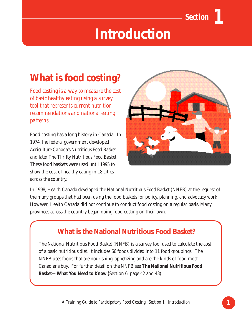## **Introduction**

## **What is food costing?**

*Food costing is a way to measure the cost of basic healthy eating using a survey tool that represents current nutrition recommendations and national eating patterns.*

Food costing has a long history in Canada. In 1974, the federal government developed *Agriculture Canada's Nutritious Food Basket* and later *The Thrifty Nutritious Food Basket.* These food baskets were used until 1995 to show the cost of healthy eating in 18 cities across the country.



*Section* **1**

In 1998, Health Canada developed the *National Nutritious Food Basket (NNFB)* at the request of the many groups that had been using the food baskets for policy, planning, and advocacy work. However, Health Canada did not continue to conduct food costing on a regular basis. Many provinces across the country began doing food costing on their own.

## **What is the National Nutritious Food Basket?**

The National Nutritious Food Basket (NNFB) is a survey tool used to calculate the cost of a basic nutritious diet. It includes 66 foods divided into 11 food groupings. The NNFB uses foods that are nourishing, appetizing and are the kinds of food most Canadians buy. For further detail on the NNFB see **The National Nutritious Food Basket—What You Need to Know (**Section 6, page 42 and 43)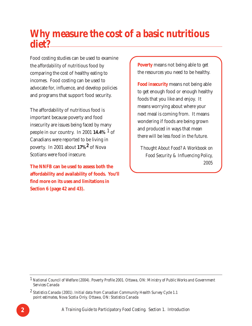## **Why measure the cost of a basic nutritious diet?**

Food costing studies can be used to examine the *affordability* of nutritious food by comparing the cost of healthy eating to incomes. Food costing can be used to advocate for, influence, and develop policies and programs that support food security.

The affordability of nutritious food is important because poverty and food insecurity are issues being faced by many people in our country. In 2001 **14.4%** 1 of Canadians were reported to be living in poverty. In 2001 about **17%2** of Nova Scotians were food insecure.

**The NNFB can be used to assess both the affordability and availability of foods. You'll find more on its uses and limitations in Section 6 (page 42 and 43).**

*Poverty* means not being able to get the resources you need to be healthy.

*Food insecurity* means not being able to get enough food or enough healthy foods that you like and enjoy. It means worrying about where your next meal is coming from. It means wondering if foods are being grown and produced in ways that mean there will be less food in the future.

*Thought About Food? A Workbook on Food Security & Influencing Policy, 2005*

*<sup>1</sup> National Council of Welfare (2004). Poverty Profile 2001. Ottawa, ON: Ministry of Public Works and Government Services Canada*

*<sup>2</sup> Statistics Canada (2001). Initial data from Canadian Community Health Survey Cycle 1.1 point estimates, Nova Scotia Only. Ottawa, ON: Statistics Canada*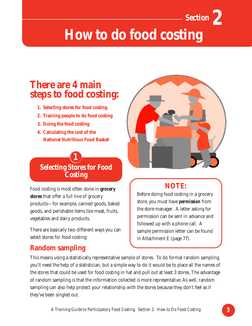# **How to do food costing**

## **There are 4 main steps to food costing:**

- **1. Selecting stores for food costing**
- **2. Training people to do food costing**
- **3. Doing the food costing**
- **4. Calculating the cost of the National Nutritious Food Basket**



Food costing is most often done in **grocery stores** that offer a full line of grocery products—for example, canned goods, baked goods, and perishable items like meat, fruits, vegetables and dairy products.

There are basically two different ways you can select stores for food costing:

## **Random sampling**



*Section* **2**

## **NOTE:**

Before doing food costing in a grocery store, you must have *permission* from the store manager. A letter asking for permission can be sent in advance and followed up with a phone call. A sample permission letter can be found in Attachment E (page 77).

This means using a statistically representative sample of stores. To do formal random sampling, you'll need the help of a statistician, but a simple way to do it would be to place all the names of the stores that could be used for food costing in hat and pull out at least 3 stores. The advantage of random sampling is that the information collected is more representative. As well, random sampling can also help protect your relationship with the stores because they don't feel as if they've been singled out.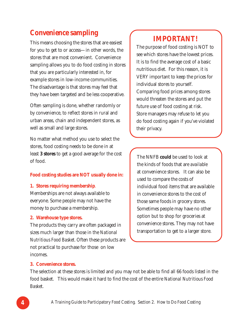### **Convenience sampling**

This means choosing the stores that are easiest for you to get to or access—in other words, the stores that are most convenient. Convenience sampling allows you to do food costing in stores that you are particularly interested in, for example stores in low-income communities. The disadvantage is that stores may feel that they have been targeted and be less cooperative.

Often sampling is done, whether randomly or by convenience, to reflect stores in rural and urban areas, chain and independent stores, as well as small and large stores.

No matter what method you use to select the stores, food costing needs to be done in at least **3 stores** to get a good average for the cost of food.

#### **Food costing studies are NOT usually done in:**

#### **1. Stores requiring membership**.

Memberships are not always available to everyone. Some people may not have the money to purchase a membership.

#### **2. Warehouse type stores.**

The products they carry are often packaged in sizes much larger than those in the *National Nutritious Food Basket*. Often these products are not practical to purchase for those on low incomes.

### **IMPORTANT!**

The purpose of food costing is NOT to see which stores have the lowest prices. It is to find the average cost of a basic nutritious diet. For this reason, it is VERY important to keep the prices for individual stores to yourself. Comparing food prices among stores would threaten the stores and put the future use of food costing at risk. Store managers may refuse to let you do food costing again if you've violated their privacy.

The NNFB **could** be used to look at the kinds of foods that are *available* at convenience stores. It can also be used to compare the costs of individual food items that are available in convenience stores to the cost of those same foods in grocery stores. Sometimes people may have no other option but to shop for groceries at convenience stores. They may not have transportation to get to a larger store.

#### **3. Convenience stores.**

The selection at these stores is limited and you may not be able to find all 66 foods listed in the food basket. This would make it hard to find the cost of the entire *National Nutritious Food Basket*.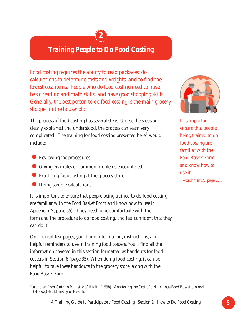### *Training People to Do Food Costing*

*2*

*Food costing requires the ability to read packages, do calculations to determine costs and weights, and to find the lowest cost items. People who do food costing need to have basic reading and math skills, and have good shopping skills. Generally, the best person to do food costing is the main grocery shopper in the household.*

The process of food costing has several steps. Unless the steps are clearly explained and understood, the process can seem very complicated. The training for food costing presented here<sup>1</sup> would include:

- Reviewing the procedures
- Giving examples of common problems encountered
- Practicing food costing at the grocery store
- Doing sample calculations

It is important to ensure that people being trained to do food costing are familiar with the *Food Basket Form* and know how to use it Appendix A, page 55). They need to be comfortable with the form and the procedure to do food costing, and feel confident that they can do it.

On the next few pages, you'll find information, instructions, and helpful reminders to use in training food costers. You'll find all the information covered in this section formatted as handouts for food costers in Section 6 (page 35). When doing food costing, it can be helpful to take these handouts to the grocery store, along with the *Food Basket Form.*



It is important to ensure that people being trained to do food costing are familiar with the *Food Basket Form* and know how to use it. *(Attachment A, page 55).*

*1 Adapted from Ontario Ministry of Health (1998). Monitoring the Cost of a Nutritious Food Basket protocol. Ottawa,ON: Ministry of Health.*

*A Training Guide to Participatory Food Costing. Section 2. How to Do Food Costing* **5**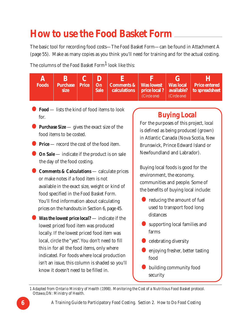## **How to use the Food Basket Form**

The basic tool for recording food costs—*The Food Basket Form*—can be found in Attachment A (page 55). Make as many copies as you think you'll need for training and for the actual costing. The columns of the *Food Basket Form1* look like this:

| <b>Foods</b> |             |  |              |              | Purchase   Price   On   Comments &   Was lowest   Was local   Price entered |
|--------------|-------------|--|--------------|--------------|-----------------------------------------------------------------------------|
|              | <b>size</b> |  | (Circle one) | (Circle one) | Sale   calculations   price local?   available?   to spreadsheet            |

- *Food*  lists the kind of food items to look for.
- **Purchase Size** gives the exact size of the food items to be costed.
- **Price** record the cost of the food item.
- *On Sale*  indicate if the product is on sale the day of the food costing.
- *Comments & Calculations*  calculate prices or make notes if a food item is not available in the exact size, weight or kind of food specified in the *Food Basket Form*. You'll find information about calculating prices on the handouts in Section 6, page 45.
- *Was the lowest price local?* indicate if the lowest priced food item was produced locally. If the lowest priced food item was local, circle the "yes". You don't need to fill this in for all the food items, only where indicated. For foods where local production isn't an issue, this column is shaded so you'll know it doesn't need to be filled in.

## *Buying Local*

For the purposes of this project, *local* is defined as being produced (grown) in Atlantic Canada (Nova Scotia, New Brunswick, Prince Edward Island or Newfoundland and Labrador).

Buying local foods is good for the environment, the economy, communities and people. Some of the benefits of buying local include:

- reducing the amount of fuel used to transport food long distances
- supporting local families and farms
- celebrating diversity
- enjoying fresher, better tasting food
- building community food security

*1 Adapted from Ontario Ministry of Health (1998). Monitoring the Cost of a Nutritious Food Basket protocol. Ottawa,ON: Ministry of Health.*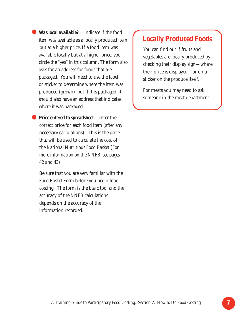• *Was local available?* —indicate if the food item was available as a locally produced item but at a higher price. If a food item was available locally but at a higher price, you circle the "yes" in this column. The form also asks for an address for foods that are packaged. You will need to use the label or sticker to determine where the item was produced (grown), but if it is packaged, it should also have an address that indicates where it was packaged.

• *Price entered to spreadsheet*—enter the correct price for each food item (after any necessary calculations). This is the price that will be used to calculate the cost of the *National Nutritious Food Basket (For more information on the NNFB, see pages 42 and 43).*

Be sure that you are very familiar with the *Food Basket Form* before you begin food costing. The form is the basic tool and the accuracy of the NNFB calculations depends on the accuracy of the information recorded.

### *Locally Produced Foods*

You can find out if fruits and vegetables are locally produced by checking their display sign—where their price is displayed—or on a sticker on the produce itself.

For meats you may need to ask someone in the meat department.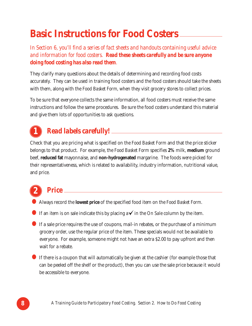## **Basic Instructions for Food Costers**

*In Section 6, you'll find a series of fact sheets and handouts containing useful advice and information for food costers. Read these sheets carefully and be sure anyone doing food costing has also read them.*

They clarify many questions about the details of determining and recording food costs accurately. They can be used in training food costers and the food costers should take the sheets with them, along with the *Food Basket Form,* when they visit grocery stores to collect prices.

To be sure that everyone collects the same information, all food costers must receive the same instructions and follow the same procedures. Be sure the food costers understand this material and give them lots of opportunities to ask questions.



Check that you are pricing what is specified on the *Food Basket Form* and that the price sticker belongs to that product. For example, the *Food Basket Form* specifies **2%** milk, **medium** ground beef, **reduced fat** mayonnaise, and **non-hydrogenated** margarine. The foods were picked for their representativeness, which is related to availability, industry information, nutritional value, and price.

## *Price*

*1*

- Always record the **lowest price** of the specified food item on the *Food Basket Form*.
- **•** If an item is on sale indicate this by placing  $a \checkmark$  in the *On Sale* column by the item.
- If a sale price requires the use of coupons, mail-in rebates, or the purchase of a minimum grocery order, use the regular price of the item. These specials would not be available to everyone. For example, someone might not have an extra \$2.00 to pay upfront and then wait for a rebate.
- **If there is a coupon that will automatically be given at the cashier (for example those that** can be peeled off the shelf or the product), then you can use the sale price because it would be accessible to everyone.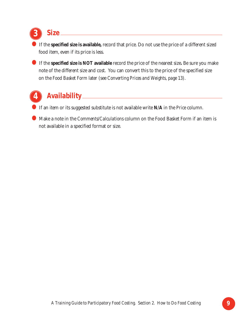## *Size*

- If the **specified size is available,** record that price. Do not use the price of a different sized food item, even if its price is less.
- If the **specified size is NOT available** record the price of the nearest size*.* Be sure you make note of the different size and cost. You can convert this to the price of the specified size on the *Food Basket Form* later (see *Converting Prices and Weights, page 13*).



- If an item or its suggested substitute is not available write **N/A** in the *Price* column*.*
- Make a note in the *Comments/Calculations* column on the Food Basket Form if an item is not available in a specified format or size.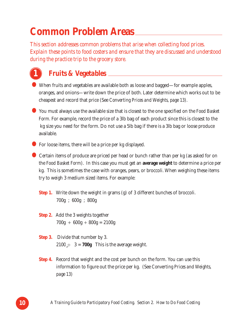## **Common Problem Areas**

*This section addresses common problems that arise when collecting food prices. Explain these points to food costers and ensure that they are discussed and understood during the practice trip to the grocery store.*

## *Fruits & Vegetables*

- When fruits and vegetables are available both as loose and bagged—for example apples, oranges, and onions—write down the price of both. Later determine which works out to be cheapest and record that price (See *Converting Prices and Weights, page 13*).
- You must always use the available size that is closest to the one specified on the *Food Basket Form.* For example, record the price of a 3lb bag of each product since this is closest to the kg size you need for the form. Do not use a 5lb bag if there is a 3lb bag or loose produce available*.*
- For loose items, there will be a price per kg displayed.
- **Certain items of produce are priced per head or bunch rather than per kg (as asked for on** the *Food Basket Form*). In this case you must get an **average weight** to determine a price per kg. This is sometimes the case with oranges, pears, or broccoli. When weighing these items try to weigh 3 medium sized items. For example:
	- **Step 1.** Write down the weight in grams (g) of 3 different bunches of broccoli. 700g ; 600g ; 800g
	- **Step 2.** Add the 3 weights together  $700g + 600g + 800g = 2100g$
	- **Step 3.** Divide that number by 3.  $2100 - 3 = 700g$  This is the average weight.
	- **Step 4.** Record that weight and the cost per bunch on the form. You can use this information to figure out the price per kg. (See *Converting Prices and Weights, page 13*)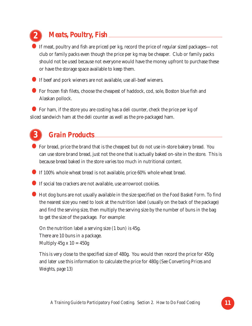## *Meats, Poultry, Fish*

• If meat, poultry and fish are priced per kg, record the price of regular sized packages—not club or family packs even though the price per kg may be cheaper. Club or family packs should not be used because not everyone would have the money upfront to purchase these or have the storage space available to keep them.



• For frozen fish filets, choose the cheapest of haddock, cod, sole, Boston blue fish and Alaskan pollock.

• For ham, if the store you are costing has a deli counter, check the price per kg of sliced sandwich ham at the deli counter as well as the pre-packaged ham.

## *Grain Products*

- For bread, price the brand that is the cheapest but do not use in-store bakery bread. You can use store brand bread, just not the one that is actually baked on-site in the store. This is because bread baked in the store varies too much in nutritional content.
- **If 100% whole wheat bread is not available, price 60% whole wheat bread.**
- $\bullet$  If social tea crackers are not available, use arrowroot cookies.
- 

*3*

*2*

• Hot dog buns are not usually available in the size specified on the *Food Basket Form*. To find the nearest size you need to look at the nutrition label (usually on the back of the package) and find the serving size, then multiply the serving size by the number of buns in the bag to get the size of the package. For example:

On the nutrition label a serving size (1 bun) is 45g. There are 10 buns in a package. Multiply  $45g \times 10 = 450g$ 

This is very close to the specified size of 480g. You would then record the price for 450g and later use this information to calculate the price for 480g (*See Converting Prices and Weights, page 13)*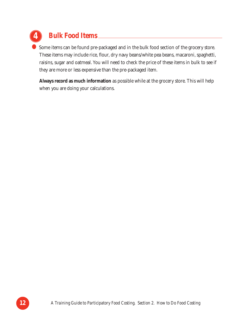## *Bulk Food Items*

*4*

**• Some items can be found pre-packaged and in the bulk food section of the grocery store.** These items may include rice, flour, dry navy beans/white pea beans, macaroni, spaghetti, raisins, sugar and oatmeal. You will need to check the price of these items in bulk to see if they are more or less expensive than the pre-packaged item.

**Always record as much information** as possible while at the grocery store. This will help when you are doing your calculations.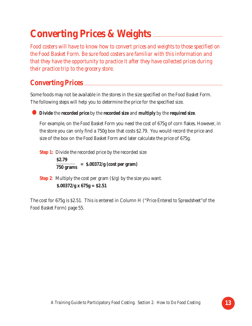## **Converting Prices & Weights**

*Food costers will have to know how to convert prices and weights to those specified on the Food Basket Form. Be sure food costers are familiar with this information and that they have the opportunity to practice it after they have collected prices during their practice trip to the grocery store.*

## *Converting Prices*

Some foods may not be available in the stores in the size specified on the *Food Basket Form*. The following steps will help you to determine the price for the specified size.

#### • *Divide* the *recorded price* by the *recorded size* and *multiply* by the *required size*.

For example, on the *Food Basket Form* you need the cost of 675g of corn flakes. However, in the store you can only find a 750g box that costs \$2.79. You would record the price and size of the box on the *Food Basket Form* and later calculate the price of 675g.

**Step 1:** Divide the recorded price by the recorded size

**\$2.79**   $\frac{1000 \text{ years}}{750 \text{ grams}}$  = \$.00372/g (cost per gram)

**Step 2**: Multiply the cost per gram (\$/g) by the size you want. **\$.00372/g x 675g = \$2.51**

The cost for 675g is \$2.51. This is entered in Column H ("*Price Entered to Spreadsheet*"of the *Food Basket Form*) page 55.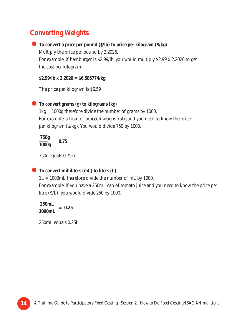### *Converting Weights*

• **To convert a price per pound (\$/lb) to price per kilogram (\$/kg)** Multiply the price per pound by 2.2026. For example, if hamburger is \$2.99/lb, you would multiply \$2.99 x 2.2026 to get the cost per kilogram.

**\$2.99/lb x 2.2026 = \$6.585774/kg**

The price per kilogram is \$6.59

• **To convert grams (g) to kilograms (kg)**

 $1\text{kg} = 1000\text{g}$  therefore divide the number of grams by 1000. For example, a head of broccoli weighs 750g and you need to know the price per kilogram (\$/kg). You would divide 750 by 1000.

 $\frac{750g}{1000g} = 0.75$ 

750g equals 0.75kg



#### • **To convert milliliters (mL) to liters (L)**

 $1L = 1000$ mL therefore divide the number of mL by 1000. For example, if you have a 250mL can of tomato juice and you need to know the price per litre (\$/L), you would divide 250 by 1000.

**250mL = 0.25 1000mL**

250mL equals 0.25L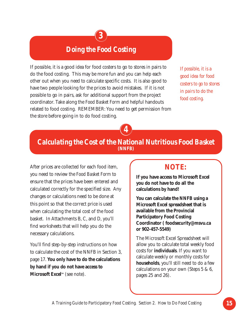## *Doing the Food Costing*

*3*

If possible, it is a good idea for food costers to go to stores in pairs to do the food costing. This may be more fun and you can help each other out when you need to calculate specific costs. It is also good to have two people looking for the prices to avoid mistakes. If it is not possible to go in pairs, ask for additional support from the project coordinator. Take along the *Food Basket Form* and helpful handouts related to food costing. REMEMBER: You need to get permission from the store before going in to do food costing.

*If possible, it is a good idea for food costers to go to stores in pairs to do the food costing.*

*Calculating the Cost of the National Nutritious Food Basket (NNFB)* 

*4*

After prices are collected for each food item, you need to review the *Food Basket Form* to ensure that the prices have been entered and calculated correctly for the specified size. Any changes or calculations need to be done at this point so that the correct price is used when calculating the total cost of the food basket. In Attachments B, C, and D, you'll find worksheets that will help you do the necessary calculations.

You'll find step-by-step instructions on how to calculate the cost of the NNFB in Section 3, page 17. **You only have to do the calculations by hand if you do not have access to Microsoft Excel™** (see note).

#### **NOTE:**

**If you have access to Microsoft Excel you do not have to do all the calculations by hand!** 

**You can calculate the NNFB using a Microsoft Excel spreadsheet that is available from the Provincial Participatory Food Costing Coordinator ( foodsecurity@msvu.ca or 902-457-5549)**

The Microsoft Excel Spreadsheet will allow you to calculate total weekly food costs for **individuals**. If you want to calculate weekly or monthly costs for **households**, you'll still need to do a few calculations on your own (Steps 5 & 6, pages 25 and 26).

*A Training Guide to Participatory Food Costing. Section 2. How to Do Food Costing* **15**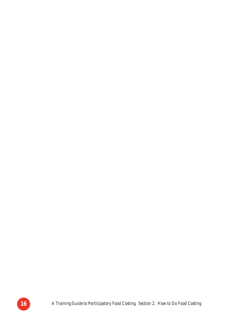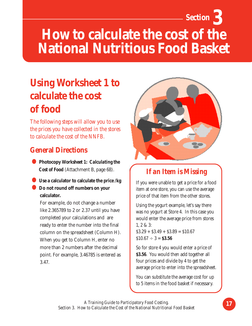# **How to calculate the cost of the National Nutritious Food Basket**

## **Using Worksheet 1 to calculate the cost of food**

*The following steps will allow you to use the prices you have collected in the stores to calculate the cost of the NNFB.*

### **General Directions**

- **Photocopy** *Worksheet 1: Calculating the Cost of Food* (Attachment B, page 68).
- **Use a calculator to calculate the price /kg** • **Do not round off numbers on your calculator.**

For example, do not change a number like 2.365789 to 2 or 2.37 until you have completed your calculations and are ready to enter the number into the final column on the spreadsheet (Column H). When you get to Column H, enter no more than 2 numbers after the decimal point. For example, 3.46785 is entered as 3.47.



*Section* **3**

## *If an Item is Missing*

If you were unable to get a price for a food item at one store, you can use the average price of that item from the other stores.

Using the yogurt example, let's say there was no yogurt at Store 4. In this case you would enter the average price from stores 1, 2 & 3:  $$3.29 + $3.49 + $3.89 = $10.67$  $$10.67 \div 3 = $3.56$ 

So for store 4 you would enter a price of **\$3.56**. You would then add together all four prices and divide by 4 to get the average price to enter into the spreadsheet.

You can substitute the average cost for up to 5 items in the food basket if necessary.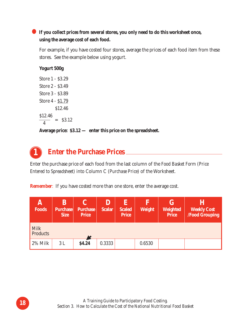#### • **If you collect prices from several stores, you only need to do this worksheet once, using the average cost of each food.**

For example, if you have costed four stores, average the prices of each food item from these stores. See the example below using yogurt.

#### **Yogurt 500g**

Store 1 - \$3.29 Store 2 - \$3.49 Store 3 - \$3.89 Store 4 - \$1.79 \$12.46 \$12.46  $\frac{24}{4}$  = \$3.12

**Average price: \$3.12 — enter this price on the spreadsheet.**

#### *1* **Enter the Purchase Prices**

Enter the purchase price of each food from the last column of the *Food Basket Form* (*Price Entered to Spreadsheet*) into Column C (*Purchase Price*) of the Worksheet.

**Remember**: If you have costed more than one store, enter the average cost.

| A<br><b>Foods</b>       | B<br><b>Purchase</b><br><b>Size</b> | <b>Purchase</b><br><b>Price</b> | D<br><b>Scalar</b> | E<br><b>Scaled</b><br><b>Price</b> | Ā<br><b>Weight</b> | <b>Weighted</b><br><b>Price</b> | <b>Weekly Cost</b><br><b>/Food Grouping</b> |
|-------------------------|-------------------------------------|---------------------------------|--------------------|------------------------------------|--------------------|---------------------------------|---------------------------------------------|
| <b>Milk</b><br>Products |                                     |                                 |                    |                                    |                    |                                 |                                             |
| 2% Milk                 | 3L                                  | \$4.24                          | 0.3333             |                                    | 0.6530             |                                 |                                             |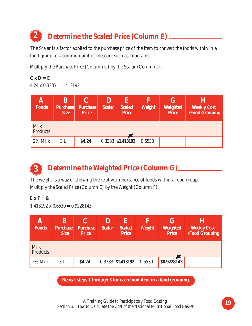## *2* **Determine the Scaled Price (Column E)**

The Scalar is a factor applied to the purchase price of the item to convert the foods within in a food group to a common unit of measure such as kilograms.

Multiply the *Purchase Price* (Column C) by the *Scalar* (Column D).

 $C \times D = E$  $4.24 \times 0.3333 = 1.413192$ 

| Α<br><b>Foods</b> | B<br><b>Purchase</b><br><b>Size</b> | <b>Purchase</b><br><b>Price</b> | D<br><b>Scalar</b> | E<br><b>Scaled</b><br><b>Price</b> | <b>IV</b><br><b>Weight</b> | <b>Weighted</b><br><b>Price</b> | <b>Weekly Cost</b><br><b>/Food Grouping</b> |
|-------------------|-------------------------------------|---------------------------------|--------------------|------------------------------------|----------------------------|---------------------------------|---------------------------------------------|
| Milk<br>Products  |                                     |                                 |                    |                                    |                            |                                 |                                             |
| 2% Milk           | 3L                                  | \$4.24                          |                    | 0.3333 \$1.413192                  | 0.6530                     |                                 |                                             |

## **Determine the Weighted Price (Column G)**

The weight is a way of showing the relative importance of foods within a food group. Multiply the *Scaled Price* (Column E) by the Weight (Column F).

 $E \times F = G$ 

*3*

 $1.413192 \times 0.6530 = 0.9228143$ 



**Repeat steps 1 through 3 for each food item in a food grouping.**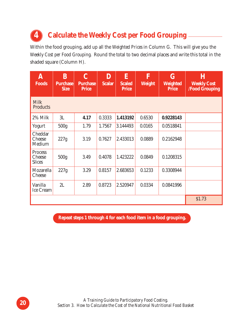#### *4* **Calculate the Weekly Cost per Food Grouping**

Within the food grouping, add up all the *Weighted Prices* in Column G. This will give you the *Weekly Cost per Food Grouping*. Round the total to two decimal places and write this total in the shaded square (Column H).

| A<br><b>Foods</b>                         | B<br><b>Purchase</b><br><b>Size</b> | $\mathbf C$<br><b>Purchase</b><br><b>Price</b> | D<br><b>Scalar</b> | E<br><b>Scaled</b><br><b>Price</b> | $\overline{\mathbf{F}}$<br><b>Weight</b> | $\bf G$<br><b>Weighted</b><br><b>Price</b> | $\bf H$<br><b>Weekly Cost</b><br><b>/Food Grouping</b> |
|-------------------------------------------|-------------------------------------|------------------------------------------------|--------------------|------------------------------------|------------------------------------------|--------------------------------------------|--------------------------------------------------------|
| <b>Milk</b><br><b>Products</b>            |                                     |                                                |                    |                                    |                                          |                                            |                                                        |
| 2% Milk                                   | 3L                                  | 4.17                                           | 0.3333             | 1.413192                           | 0.6530                                   | 0.9228143                                  |                                                        |
| Yogurt                                    | 500 <sub>g</sub>                    | 1.79                                           | 1.7567             | 3.144493                           | 0.0165                                   | 0.0518841                                  |                                                        |
| Cheddar<br>Cheese<br>Medium               | 227g                                | 3.19                                           | 0.7627             | 2.433013                           | 0.0889                                   | 0.2162948                                  |                                                        |
| <b>Process</b><br>Cheese<br><b>Slices</b> | 500 <sub>g</sub>                    | 3.49                                           | 0.4078             | 1.423222                           | 0.0849                                   | 0.1208315                                  |                                                        |
| <b>Mozarella</b><br>Cheese                | 227g                                | 3.29                                           | 0.8157             | 2.683653                           | 0.1233                                   | 0.3308944                                  |                                                        |
| Vanilla<br><b>Ice Cream</b>               | 2L                                  | 2.89                                           | 0.8723             | 2.520947                           | 0.0334                                   | 0.0841996                                  |                                                        |
|                                           |                                     |                                                |                    |                                    |                                          |                                            | \$1.73                                                 |

**Repeat steps 1 through 4 for each food item in a food grouping.**

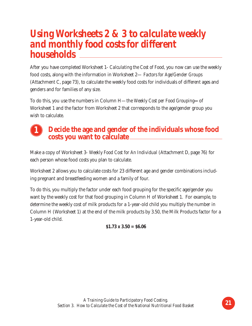## *Using Worksheets 2 & 3 to calculate weekly and monthly food costs for different households*

After you have completed Worksheet 1- *Calculating the Cost of Food,* you now can use the weekly food costs, along with the information in Worksheet 2— *Factors for Age/Gender Groups* (Attachment C, page 73), to calculate the weekly food costs for individuals of different ages and genders and for families of any size.

To do this, you use the numbers in Column H—the *Weekly Cost per Food Grouping***—**of Worksheet 1 and the factor from Worksheet 2 that corresponds to the age/gender group you wish to calculate.



### **Decide the age and gender of the individuals whose food costs you want to calculate**

Make a copy of Worksheet 3- *Weekly Food Cost for An Individual* (Attachment D, page 76) for each person whose food costs you plan to calculate.

Worksheet 2 allows you to calculate costs for 23 different age and gender combinations including pregnant and breastfeeding women and a family of four.

To do this, you multiply the factor under each food grouping for the specific age/gender you want by the weekly cost for that food grouping in Column H of Worksheet 1. For example, to determine the weekly cost of milk products for a 1-year-old child you multiply the number in Column H (Worksheet 1) at the end of the milk products by 3.50, the Milk Products factor for a 1-year-old child.

**\$1.73 x 3.50 = \$6.06**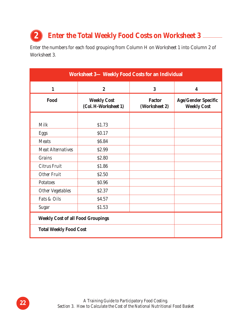## *2* **Enter the Total Weekly Food Costs on Worksheet 3**

Enter the numbers for each food grouping from Column H on Worksheet 1 into Column 2 of Worksheet 3.

| <b>Worksheet 3— Weekly Food Costs for an Individual</b> |                                            |                                |                                                  |  |  |  |  |
|---------------------------------------------------------|--------------------------------------------|--------------------------------|--------------------------------------------------|--|--|--|--|
| $\mathbf{1}$                                            | $\boldsymbol{2}$                           | 3                              | $\overline{\mathbf{4}}$                          |  |  |  |  |
| Food                                                    | <b>Weekly Cost</b><br>(Col. H-Worksheet 1) | <b>Factor</b><br>(Worksheet 2) | <b>Age/Gender Specific</b><br><b>Weekly Cost</b> |  |  |  |  |
| <b>Milk</b><br><b>Eggs</b>                              | \$1.73<br>\$0.17                           |                                |                                                  |  |  |  |  |
| <b>Meats</b>                                            | \$6.84                                     |                                |                                                  |  |  |  |  |
| <b>Meat Alternatives</b>                                | \$2.99                                     |                                |                                                  |  |  |  |  |
| <b>Grains</b>                                           | \$2.80                                     |                                |                                                  |  |  |  |  |
| <b>Citrus Fruit</b>                                     | \$1.86                                     |                                |                                                  |  |  |  |  |
| <b>Other Fruit</b>                                      | \$2.50                                     |                                |                                                  |  |  |  |  |
| <b>Potatoes</b>                                         | \$0.96                                     |                                |                                                  |  |  |  |  |
| <b>Other Vegetables</b>                                 | \$2.37                                     |                                |                                                  |  |  |  |  |
| Fats & Oils                                             | \$4.57                                     |                                |                                                  |  |  |  |  |
| <b>Sugar</b>                                            | \$1.53                                     |                                |                                                  |  |  |  |  |
|                                                         | <b>Weekly Cost of all Food Groupings</b>   |                                |                                                  |  |  |  |  |
|                                                         | <b>Total Weekly Food Cost</b>              |                                |                                                  |  |  |  |  |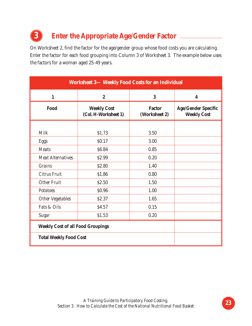## *3* **Enter the Appropriate Age/Gender Factor**

On Worksheet 2, find the factor for the age/gender group whose food costs you are calculating. Enter the factor for each food grouping into Column 3 of Worksheet 3. The example below uses the factors for a woman aged 25-49 years.

| <b>Worksheet 3— Weekly Food Costs for an Individual</b> |                                            |                                |                                                  |  |  |  |
|---------------------------------------------------------|--------------------------------------------|--------------------------------|--------------------------------------------------|--|--|--|
| $\mathbf{1}$                                            | $\boldsymbol{2}$                           | 3                              | $\boldsymbol{4}$                                 |  |  |  |
| Food                                                    | <b>Weekly Cost</b><br>(Col. H-Worksheet 1) | <b>Factor</b><br>(Worksheet 2) | <b>Age/Gender Specific</b><br><b>Weekly Cost</b> |  |  |  |
| <b>Milk</b>                                             | \$1.73                                     | 3.50                           |                                                  |  |  |  |
| <b>Eggs</b>                                             | \$0.17                                     | 3.00                           |                                                  |  |  |  |
| <b>Meats</b>                                            | \$6.84                                     | 0.85                           |                                                  |  |  |  |
| <b>Meat Alternatives</b>                                | \$2.99                                     | 0.20                           |                                                  |  |  |  |
| Grains                                                  | \$2.80                                     | 1.40                           |                                                  |  |  |  |
| <b>Citrus Fruit</b>                                     | \$1.86                                     | 0.80                           |                                                  |  |  |  |
| <b>Other Fruit</b>                                      | \$2.50                                     | 1.50                           |                                                  |  |  |  |
| <b>Potatoes</b>                                         | \$0.96                                     | 1.00                           |                                                  |  |  |  |
| <b>Other Vegetables</b>                                 | \$2.37                                     | 1.65                           |                                                  |  |  |  |
| Fats & Oils                                             | \$4.57                                     | 0.15                           |                                                  |  |  |  |
| <b>Sugar</b>                                            | \$1.53                                     | 0.20                           |                                                  |  |  |  |
|                                                         | <b>Weekly Cost of all Food Groupings</b>   |                                |                                                  |  |  |  |
| <b>Total Weekly Food Cost</b>                           |                                            |                                |                                                  |  |  |  |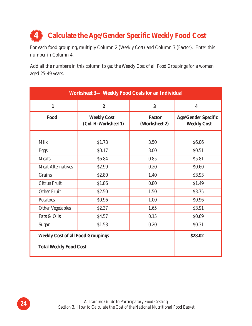#### **Calculate the Age/Gender Specific Weekly Food Cost** *4*

For each food grouping, multiply Column 2 (*Weekly Cost*) and Column 3 (*Factor*). Enter this number in Column 4.

Add all the numbers in this column to get the *Weekly Cost of all Food Groupings* for a woman aged 25-49 years.

| <b>Worksheet 3— Weekly Food Costs for an Individual</b> |                                            |                                |                                                  |  |  |  |
|---------------------------------------------------------|--------------------------------------------|--------------------------------|--------------------------------------------------|--|--|--|
| $\mathbf{1}$                                            | $\boldsymbol{2}$                           | 3                              | $\boldsymbol{4}$                                 |  |  |  |
| Food                                                    | <b>Weekly Cost</b><br>(Col. H-Worksheet 1) | <b>Factor</b><br>(Worksheet 2) | <b>Age/Gender Specific</b><br><b>Weekly Cost</b> |  |  |  |
| <b>Milk</b>                                             | \$1.73                                     | 3.50                           | \$6.06                                           |  |  |  |
| Eggs                                                    | \$0.17                                     | 3.00                           | \$0.51                                           |  |  |  |
| <b>Meats</b>                                            | \$6.84                                     | 0.85                           | \$5.81                                           |  |  |  |
| <b>Meat Alternatives</b>                                | \$2.99                                     | 0.20                           | \$0.60                                           |  |  |  |
| Grains                                                  | \$2.80                                     | 1.40                           | \$3.93                                           |  |  |  |
| <b>Citrus Fruit</b>                                     | \$1.86<br>0.80                             |                                | \$1.49                                           |  |  |  |
| <b>Other Fruit</b>                                      | \$2.50                                     | 1.50                           | \$3.75                                           |  |  |  |
| <b>Potatoes</b>                                         | \$0.96                                     | 1.00                           | \$0.96                                           |  |  |  |
| <b>Other Vegetables</b>                                 | \$2.37                                     | 1.65                           | \$3.91                                           |  |  |  |
| Fats & Oils                                             | \$4.57                                     | 0.15                           | \$0.69                                           |  |  |  |
| <b>Sugar</b>                                            | \$1.53                                     | 0.20                           | \$0.31                                           |  |  |  |
| <b>Weekly Cost of all Food Groupings</b>                | \$28.02                                    |                                |                                                  |  |  |  |
| <b>Total Weekly Food Cost</b>                           |                                            |                                |                                                  |  |  |  |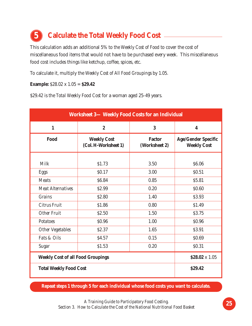## *5* **Calculate the Total Weekly Food Cost**

This calculation adds an additional 5% to *the Weekly Cost of Food* to cover the cost of miscellaneous food items that would not have to be purchased every week*.* This miscellaneous food cost includes things like ketchup, coffee, spices, etc.

To calculate it, multiply the *Weekly Cost of All Food Groupings* by 1.05.

**Example:** \$28.02 x 1.05 = **\$29.42**

\$29.42 is the *Total Weekly Food Cost* for a woman aged 25-49 years.

| <b>Worksheet 3— Weekly Food Costs for an Individual</b> |                                            |                                |                                                  |  |  |  |
|---------------------------------------------------------|--------------------------------------------|--------------------------------|--------------------------------------------------|--|--|--|
| $\mathbf{1}$                                            | $\boldsymbol{2}$                           | 3                              | $\overline{\mathbf{4}}$                          |  |  |  |
| Food                                                    | <b>Weekly Cost</b><br>(Col. H-Worksheet 1) | <b>Factor</b><br>(Worksheet 2) | <b>Age/Gender Specific</b><br><b>Weekly Cost</b> |  |  |  |
| <b>Milk</b>                                             | \$1.73                                     | 3.50                           | \$6.06                                           |  |  |  |
| Eggs                                                    | \$0.17                                     | 3.00                           | \$0.51                                           |  |  |  |
| <b>Meats</b>                                            | \$6.84                                     | 0.85                           | \$5.81                                           |  |  |  |
| <b>Meat Alternatives</b>                                | \$2.99                                     | 0.20                           | \$0.60                                           |  |  |  |
| Grains                                                  | \$2.80                                     | 1.40                           | \$3.93                                           |  |  |  |
| <b>Citrus Fruit</b>                                     | \$1.86                                     | 0.80                           | \$1.49                                           |  |  |  |
| <b>Other Fruit</b>                                      | \$2.50                                     | 1.50                           | \$3.75                                           |  |  |  |
| <b>Potatoes</b>                                         | \$0.96                                     | 1.00                           | \$0.96                                           |  |  |  |
| <b>Other Vegetables</b>                                 | \$2.37                                     | 1.65                           | \$3.91                                           |  |  |  |
| Fats & Oils                                             | \$4.57                                     | 0.15                           | \$0.69                                           |  |  |  |
| <b>Sugar</b>                                            | \$1.53                                     | 0.20                           | \$0.31                                           |  |  |  |
| <b>Weekly Cost of all Food Groupings</b>                | \$28.02 x 1.05                             |                                |                                                  |  |  |  |
| <b>Total Weekly Food Cost</b>                           | \$29.42                                    |                                |                                                  |  |  |  |

**Repeat steps 1 through 5 for each individual whose food costs you want to calculate.**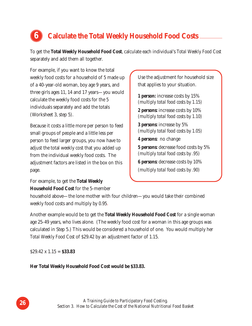#### **Calculate the Total Weekly Household Food Costs**  *6*

To get the **Total Weekly Household Food Cost**, calculate each individual's *Total Weekly Food Cost* separately and add them all together.

For example, if you want to know the total weekly food costs for a household of 5 made up of a 40-year-old woman, boy age 9 years, and three girls ages 11, 14 and 17 years—you would calculate the weekly food costs for the 5 individuals separately and add the totals (Worksheet 3, step 5).

Because it costs a little more per person to feed small groups of people and a little less per person to feed larger groups, you now have to adjust the total weekly cost that you added up from the individual weekly food costs. The adjustment factors are listed in the box on this page.

Use the adjustment for household size that applies to your situation.

*1 person:* increase costs by 15% *(multiply total food costs by 1.15)*

*2 persons:* increase costs by 10% *(multiply total food costs by 1.10)*

*3 persons:* increase by 5% *(multiply total food costs by 1.05)*

*4 persons:* no change

*5 persons:* decrease food costs by 5% *(multiply total food costs by .95) 6 persons:* decrease costs by 10%

*(multiply total food costs by .90)*

For example, to get the **Total Weekly Household Food Cost** for the 5-member

household above—the lone mother with four children—you would take their combined weekly food costs and multiply by 0.95.

Another example would be to get the **Total Weekly Household Food Cost** for a single woman age 25-49 years, who lives alone. (The weekly food cost for a woman in this age groups was calculated in Step 5.) This would be considered a household of one. You would multiply her *Total Weekly Food Cost* of \$29.42 by an adjustment factor of 1.15.

\$29.42 x 1.15 = **\$33.83**

**Her Total Weekly Household Food Cost would be \$33.83.**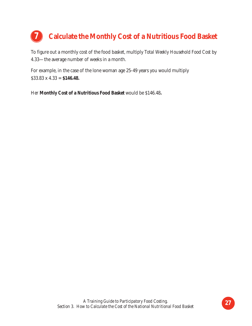## *7* **Calculate the Monthly Cost of a Nutritious Food Basket**

To figure out a monthly cost of the food basket, multiply *Total Weekly Household Food Cost* by 4.33—the average number of weeks in a month.

For example, in the case of the lone woman age 25-49 years you would multiply \$33.83 x 4.33 = **\$146.48.**

Her **Monthly Cost of a Nutritious Food Basket** would be \$146.48**.**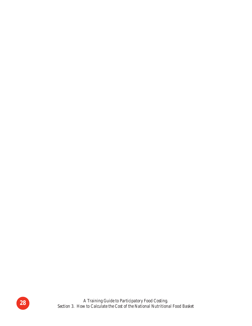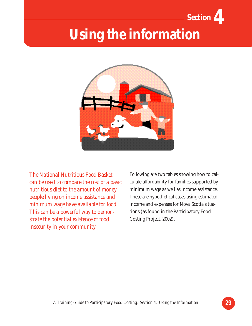# **Using the information**



*The National Nutritious Food Basket can be used to compare the cost of a basic nutritious diet to the amount of money people living on income assistance and minimum wage have available for food. This can be a powerful way to demonstrate the potential existence of food insecurity in your community.*

Following are two tables showing how to calculate affordability for families supported by minimum wage as well as income assistance. These are hypothetical cases using estimated income and expenses for Nova Scotia situations (as found in the Participatory Food Costing Project, 2002).

*Section* **4**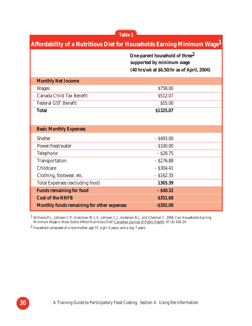| <b>Table 1</b>                                                                      |                                                                                                                       |  |  |  |  |
|-------------------------------------------------------------------------------------|-----------------------------------------------------------------------------------------------------------------------|--|--|--|--|
| Affordability of a Nutritious Diet for Households Earning Minimum Wage <sup>1</sup> |                                                                                                                       |  |  |  |  |
|                                                                                     | One-parent household of three <sup>2</sup><br>supported by minimum wage<br>(40 hrs/wk at \$6.50/hr as of April, 2004) |  |  |  |  |
| <b>Monthly Net Income</b>                                                           |                                                                                                                       |  |  |  |  |
| <b>Wages</b>                                                                        | \$758.00                                                                                                              |  |  |  |  |
| Canada Child Tax Benefit                                                            | \$512.07                                                                                                              |  |  |  |  |
| <b>Federal GST Benefit</b>                                                          | \$55.00                                                                                                               |  |  |  |  |
| <b>Total</b>                                                                        | \$1325.07                                                                                                             |  |  |  |  |
|                                                                                     |                                                                                                                       |  |  |  |  |
| <b>Basic Monthly Expenses</b>                                                       |                                                                                                                       |  |  |  |  |
| <b>Shelter</b>                                                                      | $-$ \$493.00                                                                                                          |  |  |  |  |
| Power/heat/water                                                                    | $-$ \$100.00                                                                                                          |  |  |  |  |
| Telephone                                                                           | $-$ \$28.75                                                                                                           |  |  |  |  |
| Transportation                                                                      | $-$ \$276.88                                                                                                          |  |  |  |  |
| Childcare                                                                           | $-$ \$304.41                                                                                                          |  |  |  |  |
| Clothing, footwear, etc.                                                            | $-$ \$162.35                                                                                                          |  |  |  |  |
| Total Expenses (excluding food)                                                     | 1365.39                                                                                                               |  |  |  |  |
| <b>Funds remaining for food</b>                                                     | $-$ \$40.32                                                                                                           |  |  |  |  |
| <b>Cost of the NNFB</b>                                                             | \$351.68                                                                                                              |  |  |  |  |
| Monthly funds remaining for other expenses                                          | $-$ \$392.00                                                                                                          |  |  |  |  |

*1 Williams P.L., Johnson C.P., Kratzman M.L.V., Johnson C.J., Anderson B.J., and Chenhall C. 2006. Can Households Earning Minimum Wage in Nova Scotia Afford Nutritious Diet? Canadian Journal of Public Health. 97 (6) 430-34*

*2 Household composed of a lone mother agd 37, a girl 4 years, and a boy 7 years*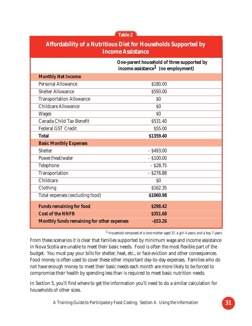#### **Table 2**

#### **Affordability of a Nutritious Diet for Households Supported by Income Assistance**

|                                            | One-parent household of three supported by<br>income assistance <sup>1</sup> (no employment) |
|--------------------------------------------|----------------------------------------------------------------------------------------------|
| <b>Monthly Net Income</b>                  |                                                                                              |
| <b>Personal Allowance</b>                  | \$180.00                                                                                     |
| <b>Shelter Allowance</b>                   | \$593.00                                                                                     |
| <b>Transportation Allowance</b>            | \$0                                                                                          |
| <b>Childcare Allowance</b>                 | S <sub>0</sub>                                                                               |
| <b>Wages</b>                               | \$0                                                                                          |
| Canada Child Tax Benefit                   | \$531.40                                                                                     |
| <b>Federal GST Credit</b>                  | \$55.00                                                                                      |
| <b>Total</b>                               | \$1359.40                                                                                    |
| <b>Basic Monthly Expenses</b>              |                                                                                              |
| <b>Shelter</b>                             | $-$ \$493.00                                                                                 |
| Power/heat/water                           | $-$ \$100.00                                                                                 |
| Telephone                                  | $-$ S28.75                                                                                   |
| Transportation                             | $-$ \$276.88                                                                                 |
| Childcare                                  | \$0                                                                                          |
| Clothing                                   | \$162.35                                                                                     |
| Total expenses (excluding food)            | \$1060.98                                                                                    |
| <b>Funds remaining for food</b>            | \$298.42                                                                                     |
| <b>Cost of the NNFB</b>                    | \$351.68                                                                                     |
| Monthly funds remaining for other expenses | $-$ \$53.26                                                                                  |

*1 Household composed of a lone mother aged 37, a girl 4 years, and a boy 7 years*

From these scenarios it is clear that families supported by minimum wage and income assistance in Nova Scotia are unable to meet their basic needs. Food is often the most flexible part of the budget. You must pay your bills for shelter, heat, etc., or face eviction and other consequences. Food money is often used to cover these other important day-to-day expenses. Families who do not have enough money to meet their basic needs each month are more likely to be forced to compromise their health by spending less than is required to meet basic nutrition needs.

In Section 5, you'll find where to get the information you'll need to do a similar calculation for households of other sizes.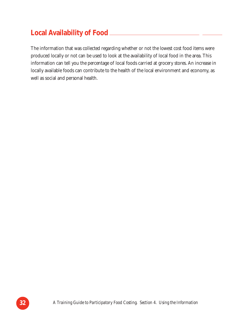## **Local Availability of Food**

The information that was collected regarding whether or not the lowest cost food items were produced locally or not can be used to look at the availability of local food in the area. This information can tell you the percentage of local foods carried at grocery stores. An increase in locally available foods can contribute to the health of the local environment and economy, as well as social and personal health.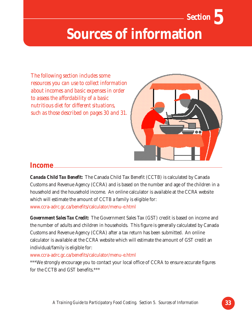# **Sources of information**

*The following section includes some resources you can use to collect information about incomes and basic expenses in order to assess the affordability of a basic nutritious diet for different situations, such as those described on pages 30 and 31.*



*Section* **5**

#### **Income**

*Canada Child Tax Benefit:* The Canada Child Tax Benefit (CCTB) is calculated by Canada Customs and Revenue Agency (CCRA) and is based on the number and age of the children in a household and the household income. An online calculator is available at the CCRA website which will estimate the amount of CCTB a family is eligible for: www.ccra-adrc.gc.ca/benefits/calculator/menu-e.html

*Government Sales Tax Credit:* The Government Sales Tax (GST) credit is based on income and the number of adults and children in households. This figure is generally calculated by Canada Customs and Revenue Agency (CCRA) after a tax return has been submitted. An online calculator is available at the CCRA website which will estimate the amount of GST credit an individual/family is eligible for:

#### www.ccra-adrc.gc.ca/benefits/calculator/menu-e.html

\*\*\*We strongly encourage you to contact your local office of CCRA to ensure accurate figures for the CCTB and GST benefits.\*\*\*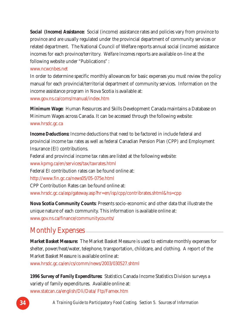*Social (Income) Assistance:* Social (income) assistance rates and policies vary from province to province and are usually regulated under the provincial department of community services or related department. The National Council of Welfare reports annual social (income) assistance incomes for each province/territory. *Welfare Incomes* reports are available on-line at the following website under "Publications" :

#### www.ncwcnbes.net

In order to determine specific monthly allowances for basic expenses you must review the policy manual for each provincial/territorial department of community services. Information on the income assistance program in Nova Scotia is available at:

www.gov.ns.ca/coms/manual/index.htm

*Minimum Wage:* Human Resources and Skills Development Canada maintains a Database on Minimum Wages across Canada. It can be accessed through the following website: www.hrsdc.gc.ca

*Income Deductions:* Income deductions that need to be factored in include federal and provincial income tax rates as well as federal Canadian Pension Plan (CPP) and Employment Insurance (EI) contributions.

Federal and provincial income tax rates are listed at the following website:

www.kpmg.ca/en/services/tax/taxrates.html

Federal EI contribution rates can be found online at:

http://www.fin.gc.ca/news05/05-075e.html

CPP Contribution Rates can be found online at:

www.hrsdc.gc.ca/asp/gateway.asp?hr=en/isp/cpp/contribrates.shtml&hs=cpp

**Nova Scotia Community Counts**: Presents socio-economic and other data that illustrate the unique nature of each community. This information is available online at: www.gov.ns.ca/finance/communitycounts/

## Monthly Expenses

*Market Basket Measure:* The Market Basket Measure is used to estimate monthly expenses for shelter, power/heat/water, telephone, transportation, childcare, and clothing. A report of the Market Basket Measure is available online at:

www.hrsdc.gc.ca/en/cs/comm/news/2003/030527.shtml

*1996 Survey of Family Expenditures:* Statistics Canada Income Statistics Division surveys a variety of family expenditures. Available online at: www.statcan.ca/english/Dli/Data/ Ftp/Famex.htm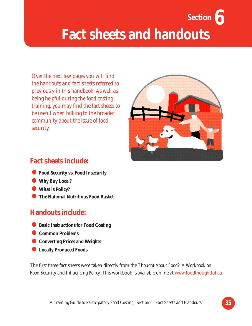# **Fact sheets and handouts**

*Over the next few pages you will find the handouts and fact sheets referred to previously in this handbook. As well as being helpful during the food costing training, you may find the fact sheets to be useful when talking to the broader community about the issue of food security.*



**Section 6** 

### **Fact sheets include:**

- **Food Security vs. Food Insecurity**
- **Why Buy Local?**
- **What is Policy?**
- **The National Nutritious Food Basket**

### **Handouts include:**

- **Basic Instructions for Food Costing**
- **Common Problems**
- **Converting Prices and Weights**
- **Locally Produced Foods**

The first three fact sheets were taken directly from the *Thought About Food?: A Workbook on Food Security and Influencing Policy.* This workbook is available online at www.foodthoughtful.ca

*A Training Guide to Participatory Food Costing. Section 6. Fact Sheets and Handouts* **35**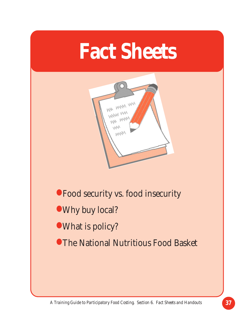



 $\bullet$  Food security vs. food insecurity

• Why buy local?

• What is policy?

• The National Nutritious Food Basket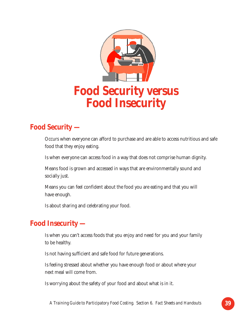

## **Food Security —**

Occurs when everyone can afford to purchase and are able to access nutritious and safe food that they enjoy eating.

Is when everyone can access food in a way that does not comprise human dignity.

Means food is grown and accessed in ways that are environmentally sound and socially just.

Means you can feel confident about the food you are eating and that you will have enough.

Is about sharing and celebrating your food.

### **Food Insecurity —**

Is when you can't access foods that you enjoy and need for you and your family to be healthy.

Is not having sufficient and safe food for future generations.

Is feeling stressed about whether you have enough food or about where your next meal will come from.

Is worrying about the safety of your food and about what is in it.

*A Training Guide to Participatory Food Costing. Section 6. Fact Sheets and Handouts* **39**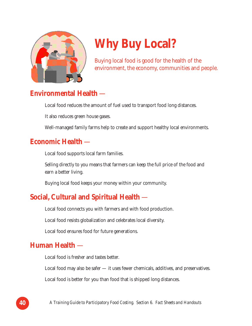

## **Why Buy Local?**

Buying local food is good for the health of the environment, the economy, communities and people.

## **Environmental Health** —

Local food reduces the amount of fuel used to transport food long distances.

It also reduces green house gases.

Well-managed family farms help to create and support healthy local environments.

## **Economic Health** —

Local food supports local farm families.

Selling directly to you means that farmers can keep the full price of the food and earn a better living.

Buying local food keeps your money within your community.

## **Social, Cultural and Spiritual Health** —

Local food connects you with farmers and with food production.

Local food resists globalization and celebrates local diversity.

Local food ensures food for future generations.

## **Human Health** —

Local food is fresher and tastes better.

Local food may also be safer — it uses fewer chemicals, additives, and preservatives.

Local food is better for you than food that is shipped long distances.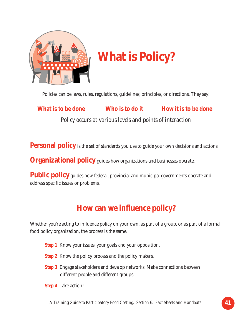

## **What is Policy?**

Policies can be laws, rules, regulations, guidelines, principles, or directions. They say:

What is to be done Who is to do it How it is to be done *Policy occurs at various levels and points of interaction*

**Personal policy** is the set of standards you use to guide your own decisions and actions.

**Organizational policy** guides how organizations and businesses operate.

**Public policy** guides how federal, provincial and municipal governments operate and address specific issues or problems.

## **How can we influence policy?**

Whether you're acting to influence policy on your own, as part of a group, or as part of a formal food policy organization, the process is the same.

- **Step 1** Know your issues, your goals and your opposition.
- **Step 2** Know the policy process and the policy makers.
- **Step 3** Engage stakeholders and develop networks. Make connections between different people and different groups.
- **Step 4** Take action!

*A Training Guide to Participatory Food Costing. Section 6. Fact Sheets and Handouts* **41**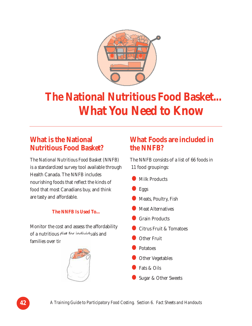

## **The National Nutritious Food Basket... What You Need to Know**

### **What is the National Nutritious Food Basket?**

The *National Nutritious Food Basket* (NNFB) is a standardized survey tool available through Health Canada. The NNFB includes nourishing foods that reflect the kinds of food that most Canadians buy, and think are tasty and affordable.

#### **The NNFB Is Used To...**

Monitor the cost and assess the affordability of a nutritious diet for individuals and families over tir



### **What Foods are included in the NNFB?**

The NNFB consists of a list of 66 foods in 11 food groupings:

- Milk Products
- Eggs
- Meats, Poultry, Fish
- Meat Alternatives
- Grain Products
- Citrus Fruit & Tomatoes
- Other Fruit
- Potatoes
- **Other Vegetables**
- Fats & Oils
- Sugar & Other Sweets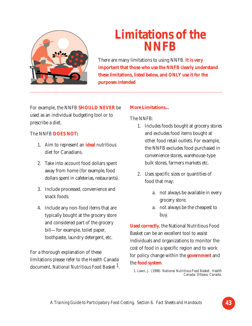

## **Limitations of the NNFB**

There are many limitations to using NNFB. **It is very important that those who use the NNFB clearly understand these limitations, listed below, and ONLY use it for the purposes intended**.

For example, the NNFB **SHOULD NEVER** be used as an individual budgeting tool or to prescribe a diet.

#### The NNFB **DOES NOT:**

- 1. Aim to represent an **ideal** nutritious diet for Canadians.
- 2. Take into account food dollars spent away from home (for example, food dollars spent in cafeterias, restaurants).
- 3. Include processed, convenience and snack foods.
- 4. Include any non-food items that are typically bought at the grocery store and considered part of the grocery bill—for example, toilet paper, toothpaste, laundry detergent, etc.

For a thorough explanation of these limitations please refer to the Health Canada document, *National Nutritious Food Basket 1*.

#### **More Limitations...**

#### The NNFB:

- *1. Includes* foods bought at grocery stores and *excludes* food items bought at other food retail outlets. For example, the NNFB excludes food purchased in convenience stores, warehouse-type bulk stores, farmers markets etc.
- *2.* Uses specific sizes or quantities of food that may:
	- a. not always be available in every grocery store.
	- a. not always be the cheapest to buy.

**Used correctly**, the National Nutritious Food Basket can be an excellent tool to assist individuals and organizations to monitor the cost of food in a specific region and to work for policy change within the **government** and the **food system**.

*1. Lawn, J. (1998). National Nutritious Food Basket. Health Canada: Ottawa, Canada.*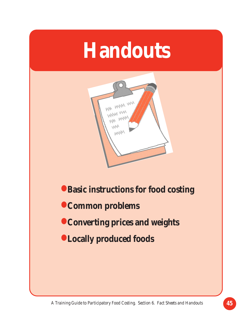# **Handouts**



- **Basic instructions for food costing**
- **Common problems**
- **Converting prices and weights**
- **Locally produced foods**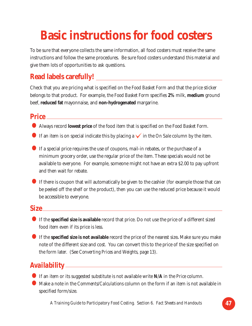## **Basic instructions for food costers**

To be sure that everyone collects the same information, all food costers must receive the same instructions and follow the same procedures. Be sure food costers understand this material and give them lots of opportunities to ask questions.

## **Read labels carefully!**

Check that you are pricing what is specified on the *Food Basket Form* and that the price sticker belongs to that product. For example, the *Food Basket Form* specifies **2%** milk, **medium** ground beef, **reduced fat** mayonnaise, and **non-hydrogenated** margarine.

## *Price*

- Always record **lowest price** of the food item that is specified on the F*ood Basket Form*.
- **•** If an item is on special indicate this by placing a  $\checkmark$  in the *On Sale* column by the item.
- If a special price requires the use of coupons, mail-in rebates, or the purchase of a minimum grocery order, use the regular price of the item. These specials would not be available to everyone. For example, someone might not have an extra \$2.00 to pay upfront and then wait for rebate.
- $\bullet$  If there is coupon that will automatically be given to the cashier (for example those that can be peeled off the shelf or the product), then you can use the reduced price because it would be accessible to everyone.

### *Size*

- If the **specified size is available** record that price. Do not use the price of a different sized food item even if its price is less.
- If the **specified size is not available** record the price of the nearest size*.* Make sure you make note of the different size and cost. You can convert this to the price of the size specified on the form later. (See *Converting Prices and Weights, page 13*).

## *Availability*

- If an item or its suggested substitute is not available write **N/A** in the *Price* column*.*
- Make a note in the *Comments/Calculations* column on the form if an item is not available in specified form/size.

*A Training Guide to Participatory Food Costing. Section 6. Fact Sheets and Handouts* **47**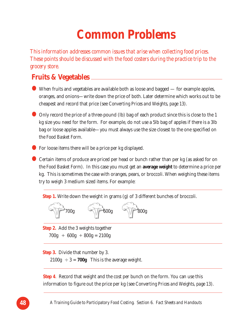## **Common Problems**

*This information addresses common issues that arise when collecting food prices. These points should be discussed with the food costers during the practice trip to the grocery store.*

### **Fruits & Vegetables**

- When fruits and vegetables are available both as loose and bagged for example apples, oranges, and onions—write down the price of both. Later determine which works out to be cheapest and record that price (see *Converting Prices and Weights, page 13*).
- Only record the price of a three-pound (lb) bag of each product since this is close to the 1 kg size you need for the form. For example, do not use a 5lb bag of apples if there is a 3lb bag or loose apples available—you must always use the size closest to the one specified on the *Food Basket Form*.
- For loose items there will be a price per kg displayed.
	- Certain items of produce are priced per head or bunch rather than per kg (as asked for on the *Food Basket Form*). In this case you must get an **average weight** to determine a price per kg. This is sometimes the case with oranges, pears, or broccoli. When weighing these items try to weigh 3 medium sized items. For example:

**Step 1.** Write down the weight in grams (g) of 3 different bunches of broccoli.



**Step 2.** Add the 3 weights together  $700g + 600g + 800g = 2100g$ 

**Step 3.** Divide that number by 3.

 $2100g + 3 = 700g$  This is the average weight.

**Step 4**. Record that weight and the cost per bunch on the form. You can use this information to figure out the price per kg (see *Converting Prices and Weights, page 13*).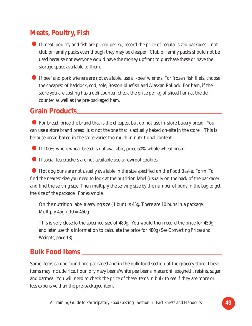### **Meats, Poultry, Fish**

- If meat, poultry and fish are priced per kg, record the price of regular sized packages—not club or family packs even though they may be cheaper. Club or family packs should not be used because not everyone would have the money upfront to purchase these or have the storage space available to them.
- **If beef and pork wieners are not available, use all-beef wieners. For frozen fish filets, choose** the cheapest of haddock, cod, sole, Boston bluefish and Alaskan Pollock. For ham, if the store you are costing has a deli counter, check the price per kg of sliced ham at the deli counter as well as the pre-packaged ham.

### **Grain Products**

• For bread, price the brand that is the cheapest but do not use in-store bakery bread. You can use a store brand bread, just not the one that is actually baked on-site in the store. This is because bread baked in the store varies too much in nutritional content.

**• If 100% whole wheat bread is not available, price 60% whole wheat bread.** 

• If social tea crackers are not available use arrowroot cookies.<br>• Hot dog buns are not usually available in the size specified on the Food Basket Form. To • Hot dog buns are not usually available in the size specified on the Food Basket Form. To find the nearest size you need to look at the nutrition label (usually on the back of the package) and find the serving size. Then multiply the serving size by the number of buns in the bag to get the size of the package. For example:

On the nutrition label a serving size (1 bun) is 45g. There are 10 buns in a package. Multiply  $45g \times 10 = 450g$ 

This is very close to the specified size of 480g. You would then record the price for 450g and later use this information to calculate the price for 480g (*See Converting Prices and Weights, page 13).*

### **Bulk Food Items**

Some items can be found pre-packaged and in the bulk food section of the grocery store. These items may include rice, flour, dry navy beans/white pea beans, macaroni, spaghetti, raisins, sugar and oatmeal. You will need to check the price of these items in bulk to see if they are more or less expensive than the pre-packaged item.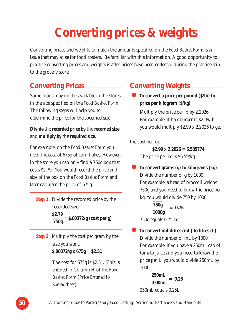## **Converting prices & weights**

Converting prices and weights to match the amounts specified on the *Food Basket Form* is an issue that may arise for food costers. Be familiar with this information. A good opportunity to practice converting prices and weights is after prices have been collected during the practice trip to the grocery store.

### **Converting Prices**

Some foods may not be available in the stores in the size specified on the *Food Basket Form*. The following steps will help you to determine the price for the specified size.

#### *Divide* the *recorded price by* the *recorded size* and *multiply by* the *required size*.

For example, on the *Food Basket Form* you need the cost of 675g of corn flakes. However, in the store you can only find a 750g box that costs \$2.79. You would record the price and size of the box on the *Food Basket Form* and later calculate the price of 675g.

**Step 1:** Divide the recorded price by the recorded size **\$2.79 = \$.00372/g (cost per g) 750g**

**Step 2**: Multiply the cost per gram by the size you want. **\$.00372/g x 675g = \$2.51**

> The cost for 675g is \$2.51. This is entered in Column H of the *Food Basket Form* (*Price Entered to Spreadsheet*).

## **Converting Weights**

```
• To convert a price per pound ($/lb) to 
price per kilogram ($/kg)
Multiply the price per lb by 2.2026
For example, if hamburger is $2.99/lb,
you would multiply $2.99 x 2.2026 to get
```
the cost per kg.

**\$2.99 x 2.2026 = 6.585774** The price per kg is \$6.59/kg

• **To convert grams (g) to kilograms (kg)** Divide the number of g by 1000 For example, a head of broccoli weighs 750g and you need to know the price per kg. You would divide 750 by 1000.

 $^{750g}$  = 0.75 **1000g** 750g equals 0.75 kg

• **To convert millilitres (mL) to litres (L)** Divide the number of mL by 1000 For example, if you have a 250mL can of tomato juice and you need to know the price per L, you would divide 250mL by 1000.

```
250mL
             = 0.25
     1000mL
250mL equals 0.25L
```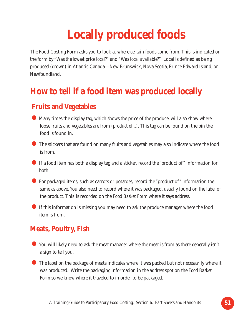## **Locally produced foods**

The Food Costing Form asks you to look at where certain foods come from. This is indicated on the form by "*Was the lowest price local?"* and *"Was local available?"* Local is defined as being produced (grown) in Atlantic Canada—New Brunswick, Nova Scotia, Prince Edward Island, or Newfoundland.

## **How to tell if a food item was produced locally**

## **Fruits and Vegetables**

- Many times the display tag, which shows the price of the produce, will also show where loose fruits and vegetables are from (*product of...*). This tag can be found on the bin the food is found in.
- The stickers that are found on many fruits and vegetables may also indicate where the food is from.
- If a food item has both a display tag and a sticker, record the "product of" information for both.
- For packaged items, such as carrots or potatoes, record the "product of" information the same as above. You also need to record where it was packaged, usually found on the label of the product. This is recorded on the *Food Basket Form* where it says *address*.
- **If this information is missing you may need to ask the produce manager where the food** item is from.

## **Meats, Poultry, Fish**

- You will likely need to ask the meat manager where the meat is from as there generally isn't a sign to tell you.
- The label on the package of meats indicates where it was packed but not necessarily where it was produced. Write the packaging information in the *address* spot on the *Food Basket Form* so we know where it traveled to in order to be packaged*.*